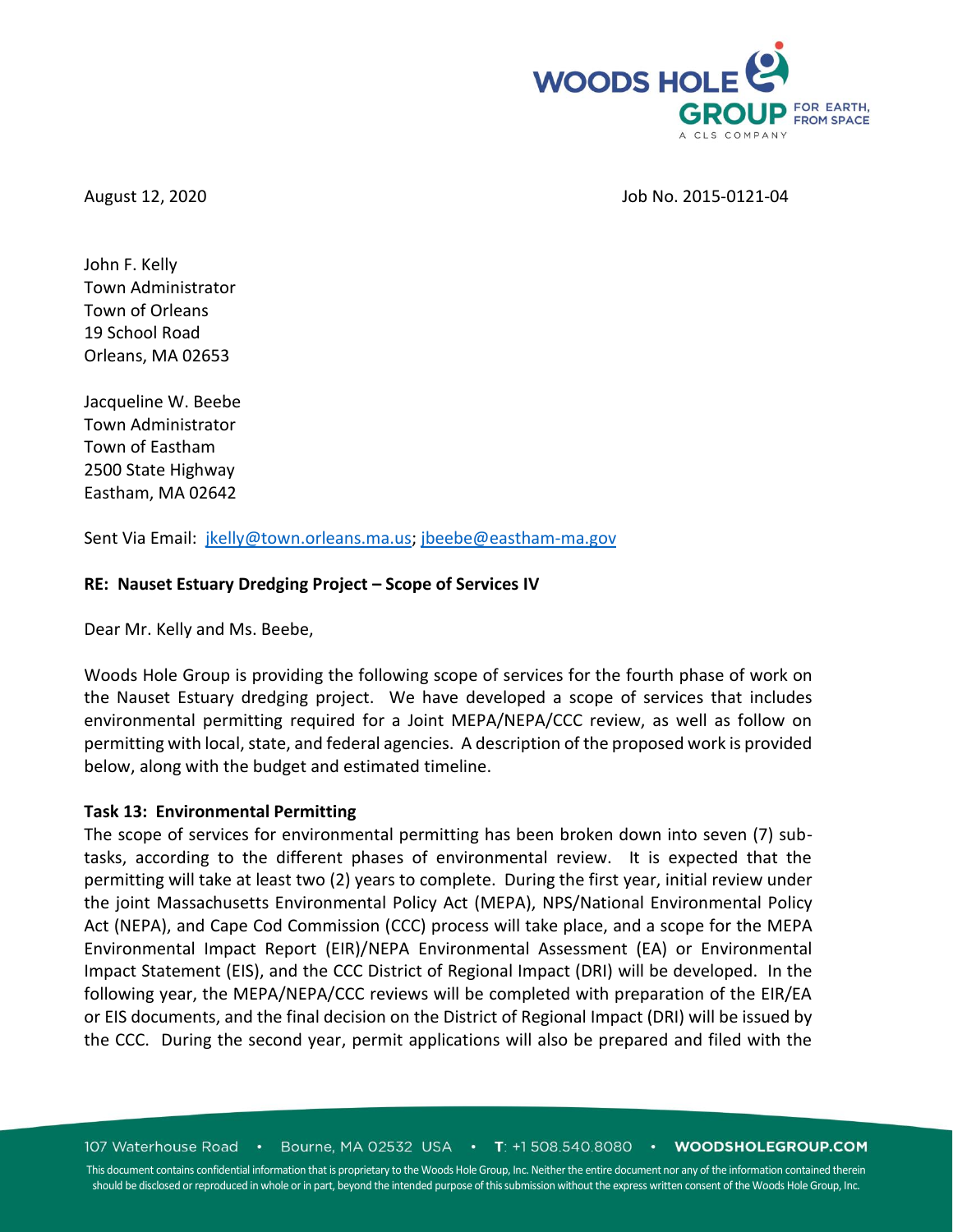

### August 12, 2020 **Job No. 2015-0121-04**

John F. Kelly Town Administrator Town of Orleans 19 School Road Orleans, MA 02653

Jacqueline W. Beebe Town Administrator Town of Eastham 2500 State Highway Eastham, MA 02642

Sent Via Email: [jkelly@town.orleans.ma.us;](mailto:jkelly@town.orleans.ma.us) [jbeebe@eastham-ma.gov](mailto:jbeebe@eastham-ma.gov)

## **RE: Nauset Estuary Dredging Project – Scope of Services IV**

Dear Mr. Kelly and Ms. Beebe,

Woods Hole Group is providing the following scope of services for the fourth phase of work on the Nauset Estuary dredging project. We have developed a scope of services that includes environmental permitting required for a Joint MEPA/NEPA/CCC review, as well as follow on permitting with local, state, and federal agencies. A description of the proposed work is provided below, along with the budget and estimated timeline.

## **Task 13: Environmental Permitting**

The scope of services for environmental permitting has been broken down into seven (7) subtasks, according to the different phases of environmental review. It is expected that the permitting will take at least two (2) years to complete. During the first year, initial review under the joint Massachusetts Environmental Policy Act (MEPA), NPS/National Environmental Policy Act (NEPA), and Cape Cod Commission (CCC) process will take place, and a scope for the MEPA Environmental Impact Report (EIR)/NEPA Environmental Assessment (EA) or Environmental Impact Statement (EIS), and the CCC District of Regional Impact (DRI) will be developed. In the following year, the MEPA/NEPA/CCC reviews will be completed with preparation of the EIR/EA or EIS documents, and the final decision on the District of Regional Impact (DRI) will be issued by the CCC. During the second year, permit applications will also be prepared and filed with the

107 Waterhouse Road • Bourne, MA 02532 USA • T: +1 508.540.8080 • WOODSHOLEGROUP.COM

This document contains confidential information that is proprietary to the Woods Hole Group, Inc. Neither the entire document nor any of the information contained therein should be disclosed or reproduced in whole or in part, beyond the intended purpose of this submission without the express written consent of the Woods Hole Group, Inc.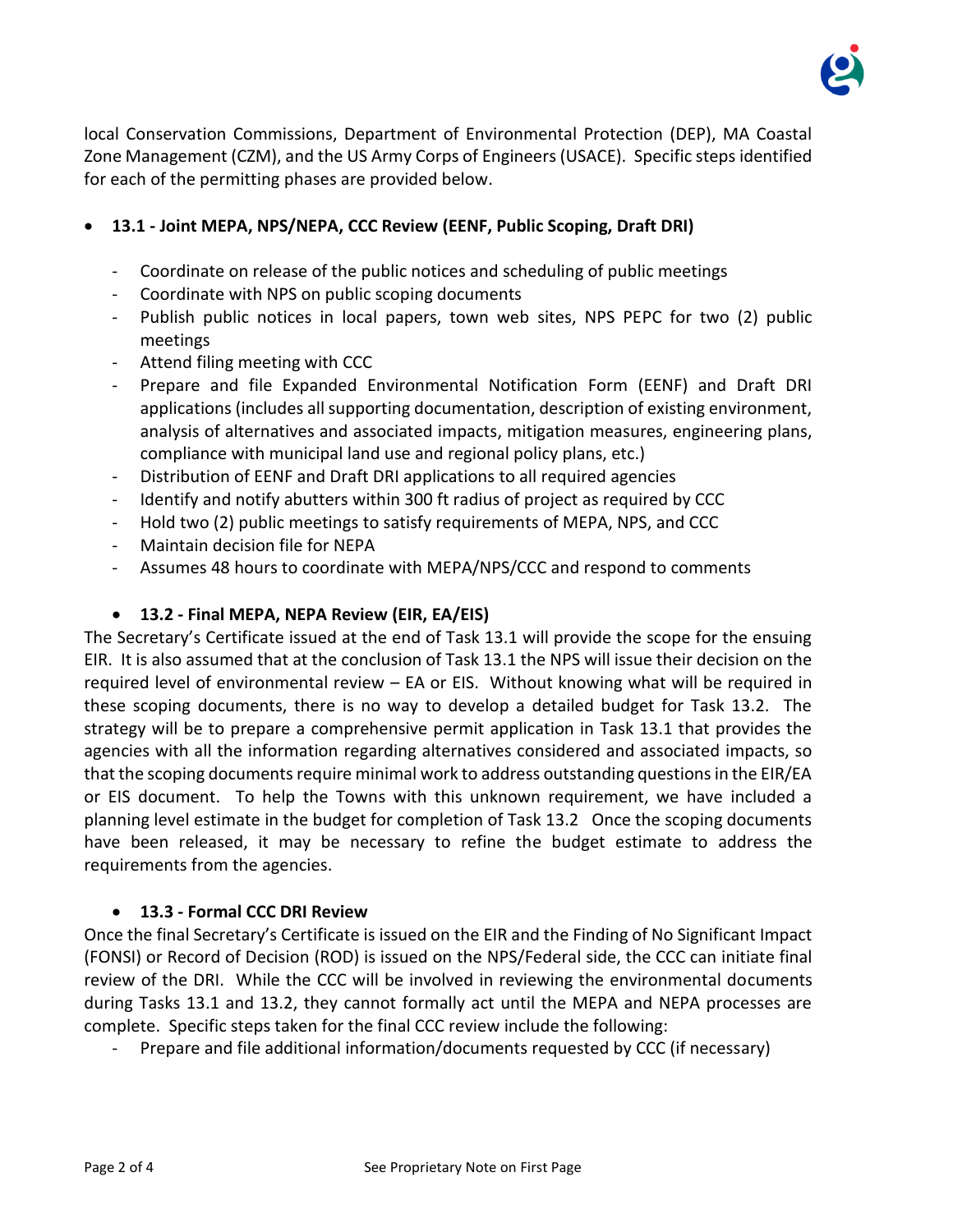

local Conservation Commissions, Department of Environmental Protection (DEP), MA Coastal Zone Management (CZM), and the US Army Corps of Engineers (USACE). Specific steps identified for each of the permitting phases are provided below.

# • **13.1 - Joint MEPA, NPS/NEPA, CCC Review (EENF, Public Scoping, Draft DRI)**

- Coordinate on release of the public notices and scheduling of public meetings
- Coordinate with NPS on public scoping documents
- Publish public notices in local papers, town web sites, NPS PEPC for two (2) public meetings
- Attend filing meeting with CCC
- Prepare and file Expanded Environmental Notification Form (EENF) and Draft DRI applications (includes all supporting documentation, description of existing environment, analysis of alternatives and associated impacts, mitigation measures, engineering plans, compliance with municipal land use and regional policy plans, etc.)
- Distribution of EENF and Draft DRI applications to all required agencies
- Identify and notify abutters within 300 ft radius of project as required by CCC
- Hold two (2) public meetings to satisfy requirements of MEPA, NPS, and CCC
- Maintain decision file for NEPA
- Assumes 48 hours to coordinate with MEPA/NPS/CCC and respond to comments

## • **13.2 - Final MEPA, NEPA Review (EIR, EA/EIS)**

The Secretary's Certificate issued at the end of Task 13.1 will provide the scope for the ensuing EIR. It is also assumed that at the conclusion of Task 13.1 the NPS will issue their decision on the required level of environmental review – EA or EIS. Without knowing what will be required in these scoping documents, there is no way to develop a detailed budget for Task 13.2. The strategy will be to prepare a comprehensive permit application in Task 13.1 that provides the agencies with all the information regarding alternatives considered and associated impacts, so that the scoping documents require minimal work to address outstanding questions in the EIR/EA or EIS document. To help the Towns with this unknown requirement, we have included a planning level estimate in the budget for completion of Task 13.2 Once the scoping documents have been released, it may be necessary to refine the budget estimate to address the requirements from the agencies.

#### • **13.3 - Formal CCC DRI Review**

Once the final Secretary's Certificate is issued on the EIR and the Finding of No Significant Impact (FONSI) or Record of Decision (ROD) is issued on the NPS/Federal side, the CCC can initiate final review of the DRI. While the CCC will be involved in reviewing the environmental documents during Tasks 13.1 and 13.2, they cannot formally act until the MEPA and NEPA processes are complete. Specific steps taken for the final CCC review include the following:

Prepare and file additional information/documents requested by CCC (if necessary)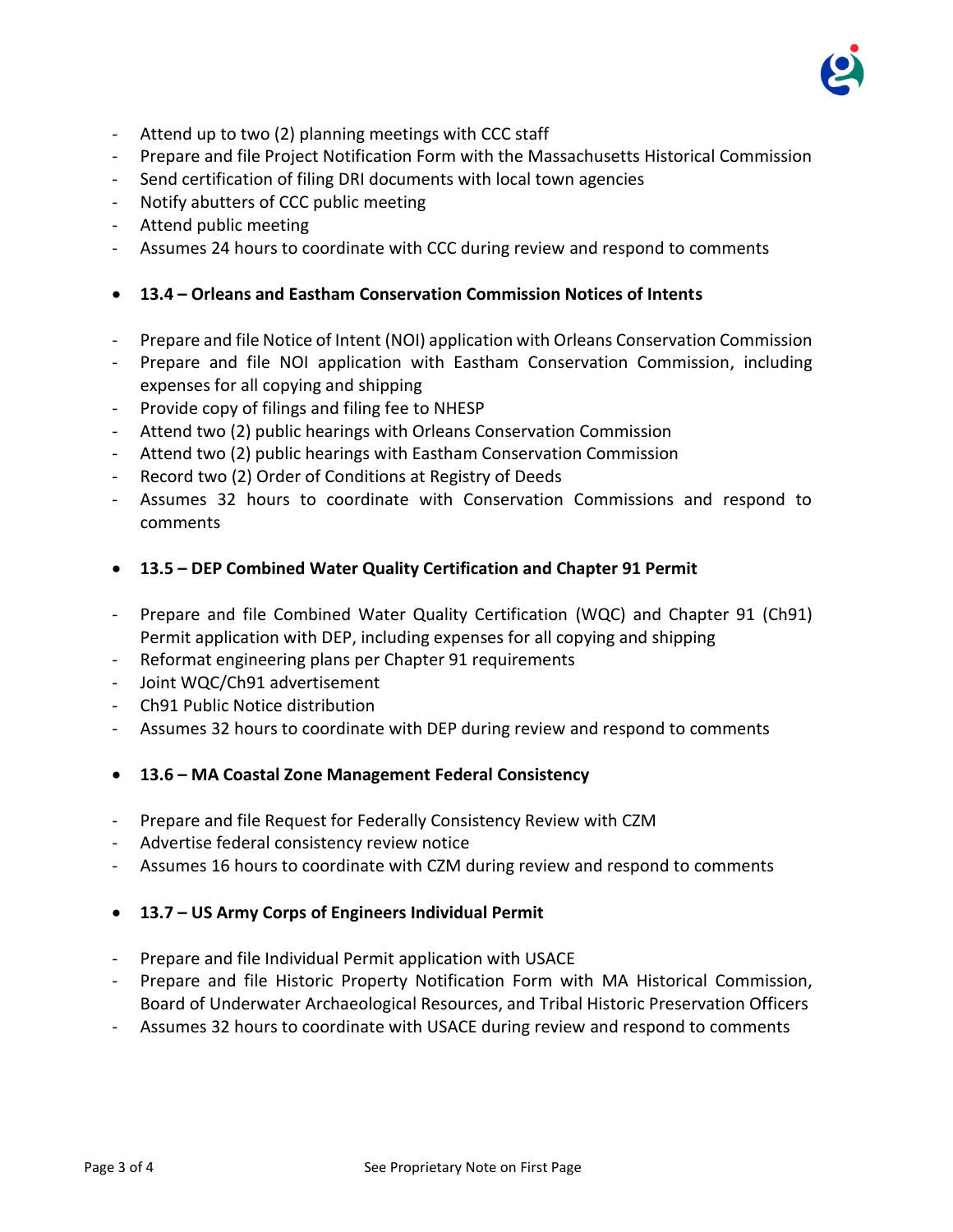

- Attend up to two (2) planning meetings with CCC staff
- Prepare and file Project Notification Form with the Massachusetts Historical Commission
- Send certification of filing DRI documents with local town agencies
- Notify abutters of CCC public meeting
- Attend public meeting
- Assumes 24 hours to coordinate with CCC during review and respond to comments
- **13.4 – Orleans and Eastham Conservation Commission Notices of Intents**
- Prepare and file Notice of Intent (NOI) application with Orleans Conservation Commission
- Prepare and file NOI application with Eastham Conservation Commission, including expenses for all copying and shipping
- Provide copy of filings and filing fee to NHESP
- Attend two (2) public hearings with Orleans Conservation Commission
- Attend two (2) public hearings with Eastham Conservation Commission
- Record two (2) Order of Conditions at Registry of Deeds
- Assumes 32 hours to coordinate with Conservation Commissions and respond to comments
- **13.5 – DEP Combined Water Quality Certification and Chapter 91 Permit**
- Prepare and file Combined Water Quality Certification (WQC) and Chapter 91 (Ch91) Permit application with DEP, including expenses for all copying and shipping
- Reformat engineering plans per Chapter 91 requirements
- Joint WOC/Ch91 advertisement
- Ch91 Public Notice distribution
- Assumes 32 hours to coordinate with DEP during review and respond to comments
- **13.6 – MA Coastal Zone Management Federal Consistency**
- Prepare and file Request for Federally Consistency Review with CZM
- Advertise federal consistency review notice
- Assumes 16 hours to coordinate with CZM during review and respond to comments
- **13.7 – US Army Corps of Engineers Individual Permit**
- Prepare and file Individual Permit application with USACE
- Prepare and file Historic Property Notification Form with MA Historical Commission, Board of Underwater Archaeological Resources, and Tribal Historic Preservation Officers
- Assumes 32 hours to coordinate with USACE during review and respond to comments